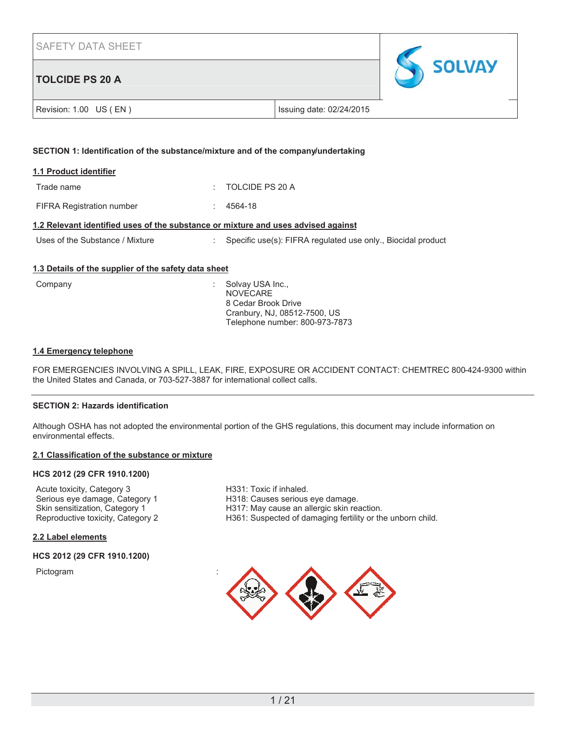# **TOLCIDE PS 20 A**



|  | Revision: 1.00 US (EN) |
|--|------------------------|
|--|------------------------|

Issuing date: 02/24/2015

## **SECTION 1: Identification of the substance/mixture and of the company/undertaking**

| 1.1 Product identifier           |                              |
|----------------------------------|------------------------------|
| Trade name                       | $\therefore$ TOLCIDE PS 20 A |
| <b>FIFRA Registration number</b> | $: 4564-18$                  |

## **1.2 Relevant identified uses of the substance or mixture and uses advised against**

| Uses of the Substance / Mixture | Specific use(s): FIFRA regulated use only., Biocidal product |
|---------------------------------|--------------------------------------------------------------|
|---------------------------------|--------------------------------------------------------------|

## **1.3 Details of the supplier of the safety data sheet**

| Company | : Solvay USA Inc.,<br><b>NOVECARE</b> |
|---------|---------------------------------------|
|         | 8 Cedar Brook Drive                   |
|         | Cranbury, NJ, 08512-7500, US          |
|         | Telephone number: 800-973-7873        |

## **1.4 Emergency telephone**

FOR EMERGENCIES INVOLVING A SPILL, LEAK, FIRE, EXPOSURE OR ACCIDENT CONTACT: CHEMTREC 800-424-9300 within the United States and Canada, or 703-527-3887 for international collect calls.

#### **SECTION 2: Hazards identification**

Although OSHA has not adopted the environmental portion of the GHS regulations, this document may include information on environmental effects.

## **2.1 Classification of the substance or mixture**

## **HCS 2012 (29 CFR 1910.1200)**

Acute toxicity, Category 3 H331: Toxic if inhaled.<br>
Serious eye damage, Category 1 H318: Causes serious Serious eye damage, Category 1 H318: Causes serious eye damage. Skin sensitization, Category 1 H317: May cause an allergic skin reaction.<br>
Reproductive toxicity, Category 2 H361: Suspected of damaging fertility or the

H361: Suspected of damaging fertility or the unborn child.

## **2.2 Label elements**

#### **HCS 2012 (29 CFR 1910.1200)**

**Pictogram** 

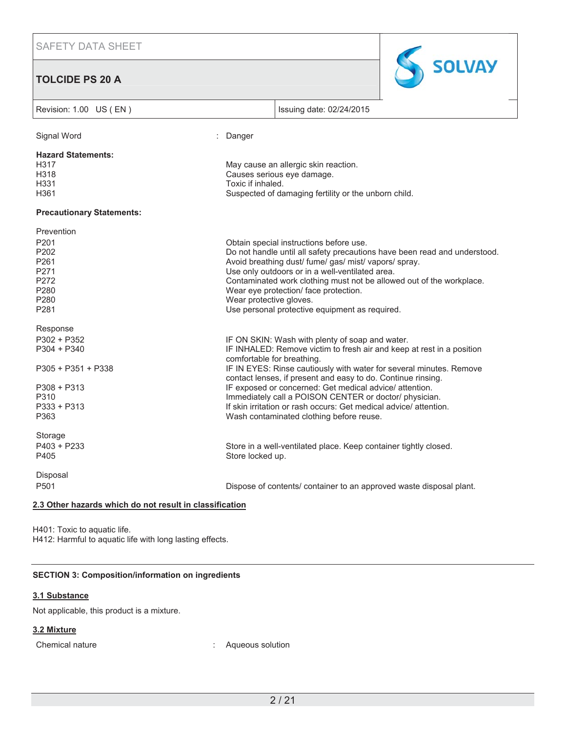**TOLCIDE PS 20 A**



| Revision: 1.00 US (EN)                                                                        | Issuing date: 02/24/2015                                                                                                                                                                                                                                                                                                                                                 |
|-----------------------------------------------------------------------------------------------|--------------------------------------------------------------------------------------------------------------------------------------------------------------------------------------------------------------------------------------------------------------------------------------------------------------------------------------------------------------------------|
| Signal Word                                                                                   | : Danger                                                                                                                                                                                                                                                                                                                                                                 |
| <b>Hazard Statements:</b><br>H317<br>H318<br>H331<br>H361                                     | May cause an allergic skin reaction.<br>Causes serious eye damage.<br>Toxic if inhaled.<br>Suspected of damaging fertility or the unborn child.                                                                                                                                                                                                                          |
| <b>Precautionary Statements:</b>                                                              |                                                                                                                                                                                                                                                                                                                                                                          |
| Prevention<br>P201<br>P202<br>P261<br>P271<br>P272                                            | Obtain special instructions before use.<br>Do not handle until all safety precautions have been read and understood.<br>Avoid breathing dust/ fume/ gas/ mist/ vapors/ spray.<br>Use only outdoors or in a well-ventilated area.<br>Contaminated work clothing must not be allowed out of the workplace.                                                                 |
| P280<br>P280<br>P281                                                                          | Wear eye protection/ face protection.<br>Wear protective gloves.<br>Use personal protective equipment as required.                                                                                                                                                                                                                                                       |
| Response<br>$P302 + P352$<br>$P304 + P340$                                                    | IF ON SKIN: Wash with plenty of soap and water.<br>IF INHALED: Remove victim to fresh air and keep at rest in a position<br>comfortable for breathing.                                                                                                                                                                                                                   |
| P305 + P351 + P338<br>$P308 + P313$<br>P310<br>$P333 + P313$<br>P363                          | IF IN EYES: Rinse cautiously with water for several minutes. Remove<br>contact lenses, if present and easy to do. Continue rinsing.<br>IF exposed or concerned: Get medical advice/ attention.<br>Immediately call a POISON CENTER or doctor/ physician.<br>If skin irritation or rash occurs: Get medical advice/attention.<br>Wash contaminated clothing before reuse. |
| Storage<br>$P403 + P233$<br>P405                                                              | Store in a well-ventilated place. Keep container tightly closed.<br>Store locked up.                                                                                                                                                                                                                                                                                     |
| Disposal<br>P501<br>$0.2$ Other herewe wising the set<br>متحافظ والكالمحامر والمرابعة الخارية | Dispose of contents/ container to an approved waste disposal plant.                                                                                                                                                                                                                                                                                                      |

#### **2.3 Other hazards which do not result in classification**

H401: Toxic to aquatic life. H412: Harmful to aquatic life with long lasting effects.

# **SECTION 3: Composition/information on ingredients**

## **3.1 Substance**

Not applicable, this product is a mixture.

# **3.2 Mixture**

Chemical nature **interest in the Chemical nature**  $\qquad \qquad$ : Aqueous solution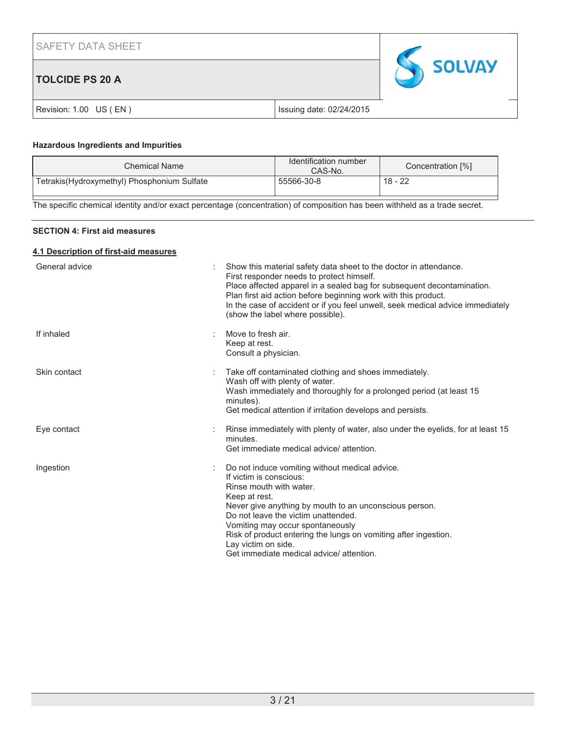| <b>SAFETY DATA SHEET</b> |                          |               |
|--------------------------|--------------------------|---------------|
| <b>TOLCIDE PS 20 A</b>   |                          | <b>SOLVAY</b> |
| Revision: 1.00 US (EN)   | Issuing date: 02/24/2015 |               |

## **Hazardous Ingredients and Impurities**

| Chemical Name                               | Identification number<br>CAS-No. | Concentration [%] |
|---------------------------------------------|----------------------------------|-------------------|
| Tetrakis(Hydroxymethyl) Phosphonium Sulfate | 55566-30-8                       | 18 - 22           |

The specific chemical identity and/or exact percentage (concentration) of composition has been withheld as a trade secret.

## **SECTION 4: First aid measures**

## **4.1 Description of first-aid measures**

| General advice | Show this material safety data sheet to the doctor in attendance.<br>First responder needs to protect himself.<br>Place affected apparel in a sealed bag for subsequent decontamination.<br>Plan first aid action before beginning work with this product.<br>In the case of accident or if you feel unwell, seek medical advice immediately<br>(show the label where possible).                 |
|----------------|--------------------------------------------------------------------------------------------------------------------------------------------------------------------------------------------------------------------------------------------------------------------------------------------------------------------------------------------------------------------------------------------------|
| If inhaled     | Move to fresh air.<br>Keep at rest.<br>Consult a physician.                                                                                                                                                                                                                                                                                                                                      |
| Skin contact   | Take off contaminated clothing and shoes immediately.<br>Wash off with plenty of water.<br>Wash immediately and thoroughly for a prolonged period (at least 15<br>minutes).<br>Get medical attention if irritation develops and persists.                                                                                                                                                        |
| Eye contact    | Rinse immediately with plenty of water, also under the eyelids, for at least 15<br>minutes.<br>Get immediate medical advice/ attention.                                                                                                                                                                                                                                                          |
| Ingestion      | Do not induce vomiting without medical advice.<br>If victim is conscious:<br>Rinse mouth with water.<br>Keep at rest.<br>Never give anything by mouth to an unconscious person.<br>Do not leave the victim unattended.<br>Vomiting may occur spontaneously<br>Risk of product entering the lungs on vomiting after ingestion.<br>Lay victim on side.<br>Get immediate medical advice/ attention. |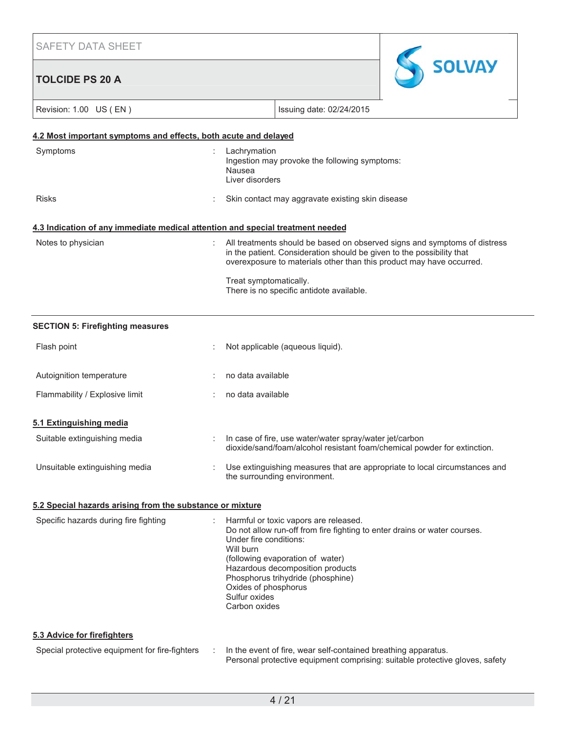| <b>SAFETY DATA SHEET</b>                                                       |   |                                                                                                                                                                                                                                                                                                                                  |
|--------------------------------------------------------------------------------|---|----------------------------------------------------------------------------------------------------------------------------------------------------------------------------------------------------------------------------------------------------------------------------------------------------------------------------------|
| <b>TOLCIDE PS 20 A</b>                                                         |   | <b>SOLVAY</b>                                                                                                                                                                                                                                                                                                                    |
| Revision: 1.00 US (EN)                                                         |   | Issuing date: 02/24/2015                                                                                                                                                                                                                                                                                                         |
| 4.2 Most important symptoms and effects, both acute and delayed                |   |                                                                                                                                                                                                                                                                                                                                  |
| Symptoms                                                                       |   | Lachrymation<br>Ingestion may provoke the following symptoms:<br>Nausea<br>Liver disorders                                                                                                                                                                                                                                       |
| <b>Risks</b>                                                                   |   | Skin contact may aggravate existing skin disease                                                                                                                                                                                                                                                                                 |
| 4.3 Indication of any immediate medical attention and special treatment needed |   |                                                                                                                                                                                                                                                                                                                                  |
| Notes to physician                                                             |   | All treatments should be based on observed signs and symptoms of distress<br>in the patient. Consideration should be given to the possibility that<br>overexposure to materials other than this product may have occurred.<br>Treat symptomatically.<br>There is no specific antidote available.                                 |
| <b>SECTION 5: Firefighting measures</b>                                        |   |                                                                                                                                                                                                                                                                                                                                  |
| Flash point                                                                    |   | Not applicable (aqueous liquid).                                                                                                                                                                                                                                                                                                 |
| Autoignition temperature                                                       |   | no data available                                                                                                                                                                                                                                                                                                                |
| Flammability / Explosive limit                                                 |   | no data available                                                                                                                                                                                                                                                                                                                |
| 5.1 Extinguishing media                                                        |   |                                                                                                                                                                                                                                                                                                                                  |
| Suitable extinguishing media                                                   |   | In case of fire, use water/water spray/water jet/carbon<br>dioxide/sand/foam/alcohol resistant foam/chemical powder for extinction.                                                                                                                                                                                              |
| Unsuitable extinguishing media                                                 |   | Use extinguishing measures that are appropriate to local circumstances and<br>the surrounding environment.                                                                                                                                                                                                                       |
| 5.2 Special hazards arising from the substance or mixture                      |   |                                                                                                                                                                                                                                                                                                                                  |
| Specific hazards during fire fighting                                          |   | Harmful or toxic vapors are released.<br>Do not allow run-off from fire fighting to enter drains or water courses.<br>Under fire conditions:<br>Will burn<br>(following evaporation of water)<br>Hazardous decomposition products<br>Phosphorus trihydride (phosphine)<br>Oxides of phosphorus<br>Sulfur oxides<br>Carbon oxides |
| 5.3 Advice for firefighters                                                    |   |                                                                                                                                                                                                                                                                                                                                  |
| Special protective equipment for fire-fighters                                 | ÷ | In the event of fire, wear self-contained breathing apparatus.<br>Personal protective equipment comprising: suitable protective gloves, safety                                                                                                                                                                                   |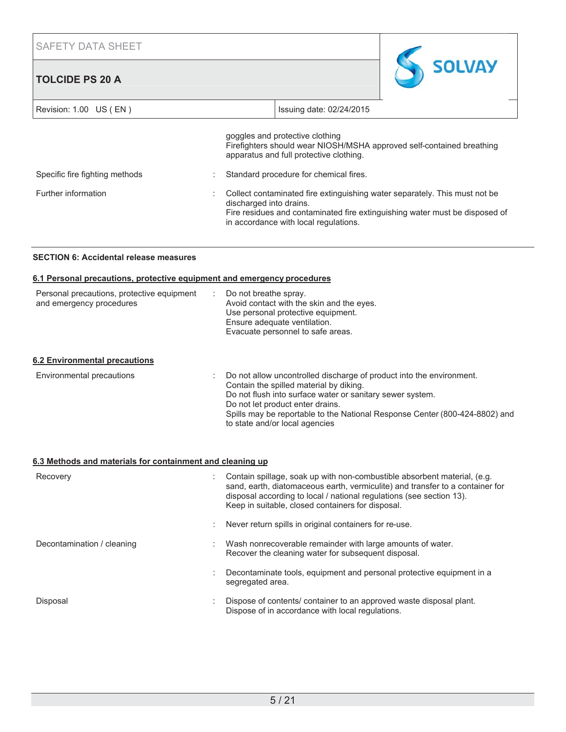# **TOLCIDE PS 20 A**



| Revision: 1.00 US (EN)         |                         | Issuing date: 02/24/2015                                                                                                                                                                           |
|--------------------------------|-------------------------|----------------------------------------------------------------------------------------------------------------------------------------------------------------------------------------------------|
|                                |                         | goggles and protective clothing<br>Firefighters should wear NIOSH/MSHA approved self-contained breathing<br>apparatus and full protective clothing.                                                |
| Specific fire fighting methods |                         | Standard procedure for chemical fires.                                                                                                                                                             |
| Further information            | discharged into drains. | Collect contaminated fire extinguishing water separately. This must not be<br>Fire residues and contaminated fire extinguishing water must be disposed of<br>in accordance with local regulations. |

## **SECTION 6: Accidental release measures**

#### **6.1 Personal precautions, protective equipment and emergency procedures**

| Personal precautions, protective equipment<br>÷<br>and emergency procedures | Do not breathe spray.<br>Avoid contact with the skin and the eyes.<br>Use personal protective equipment.<br>Ensure adequate ventilation.<br>Evacuate personnel to safe areas.                                    |
|-----------------------------------------------------------------------------|------------------------------------------------------------------------------------------------------------------------------------------------------------------------------------------------------------------|
| 6.2 Environmental precautions                                               |                                                                                                                                                                                                                  |
| Environmental precautions                                                   | Do not allow uncontrolled discharge of product into the environment.<br>Contain the spilled material by diking.<br>Do not flush into surface water or sanitary sewer system.<br>Do not let product enter drains. |

#### Spills may be reportable to the National Response Center (800-424-8802) and to state and/or local agencies

## **6.3 Methods and materials for containment and cleaning up**

| Recovery                   | Contain spillage, soak up with non-combustible absorbent material, (e.g.<br>sand, earth, diatomaceous earth, vermiculite) and transfer to a container for<br>disposal according to local / national regulations (see section 13).<br>Keep in suitable, closed containers for disposal. |
|----------------------------|----------------------------------------------------------------------------------------------------------------------------------------------------------------------------------------------------------------------------------------------------------------------------------------|
|                            | Never return spills in original containers for re-use.                                                                                                                                                                                                                                 |
| Decontamination / cleaning | Wash nonrecoverable remainder with large amounts of water.<br>Recover the cleaning water for subsequent disposal.                                                                                                                                                                      |
|                            | Decontaminate tools, equipment and personal protective equipment in a<br>segregated area.                                                                                                                                                                                              |
| Disposal                   | Dispose of contents/ container to an approved waste disposal plant.<br>Dispose of in accordance with local regulations.                                                                                                                                                                |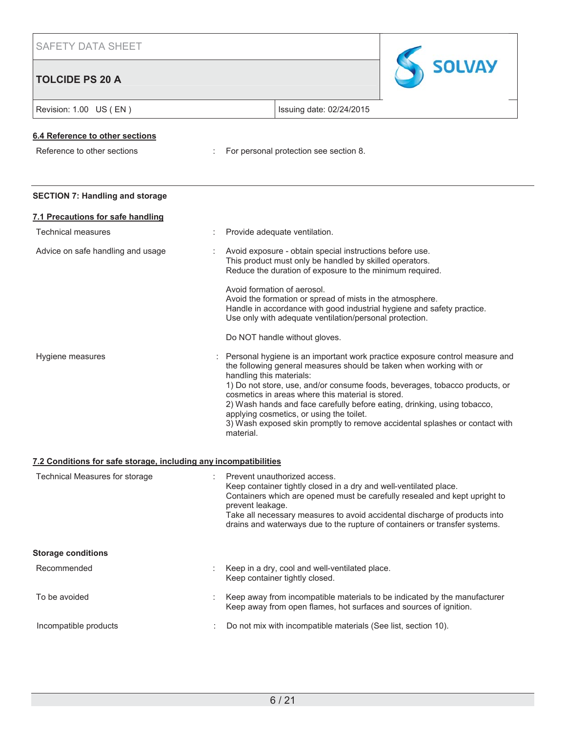# **TOLCIDE PS 20 A**



| TULUIDE FO ZU A                        |                                                                                                                                                                                                                                                                                                                                                                                                                                                                                                                                        |
|----------------------------------------|----------------------------------------------------------------------------------------------------------------------------------------------------------------------------------------------------------------------------------------------------------------------------------------------------------------------------------------------------------------------------------------------------------------------------------------------------------------------------------------------------------------------------------------|
| Revision: 1.00 US (EN)                 | Issuing date: 02/24/2015                                                                                                                                                                                                                                                                                                                                                                                                                                                                                                               |
| 6.4 Reference to other sections        |                                                                                                                                                                                                                                                                                                                                                                                                                                                                                                                                        |
| Reference to other sections            | For personal protection see section 8.                                                                                                                                                                                                                                                                                                                                                                                                                                                                                                 |
| <b>SECTION 7: Handling and storage</b> |                                                                                                                                                                                                                                                                                                                                                                                                                                                                                                                                        |
| 7.1 Precautions for safe handling      |                                                                                                                                                                                                                                                                                                                                                                                                                                                                                                                                        |
| <b>Technical measures</b>              | Provide adequate ventilation.                                                                                                                                                                                                                                                                                                                                                                                                                                                                                                          |
| Advice on safe handling and usage      | Avoid exposure - obtain special instructions before use.<br>This product must only be handled by skilled operators.<br>Reduce the duration of exposure to the minimum required.                                                                                                                                                                                                                                                                                                                                                        |
|                                        | Avoid formation of aerosol.<br>Avoid the formation or spread of mists in the atmosphere.<br>Handle in accordance with good industrial hygiene and safety practice.<br>Use only with adequate ventilation/personal protection.                                                                                                                                                                                                                                                                                                          |
|                                        | Do NOT handle without gloves.                                                                                                                                                                                                                                                                                                                                                                                                                                                                                                          |
| Hygiene measures                       | Personal hygiene is an important work practice exposure control measure and<br>the following general measures should be taken when working with or<br>handling this materials:<br>1) Do not store, use, and/or consume foods, beverages, tobacco products, or<br>cosmetics in areas where this material is stored.<br>2) Wash hands and face carefully before eating, drinking, using tobacco,<br>applying cosmetics, or using the toilet.<br>3) Wash exposed skin promptly to remove accidental splashes or contact with<br>material. |

## **7.2 Conditions for safe storage, including any incompatibilities**

| Technical Measures for storage | Prevent unauthorized access.<br>Keep container tightly closed in a dry and well-ventilated place.<br>Containers which are opened must be carefully resealed and kept upright to<br>prevent leakage.<br>Take all necessary measures to avoid accidental discharge of products into<br>drains and waterways due to the rupture of containers or transfer systems. |
|--------------------------------|-----------------------------------------------------------------------------------------------------------------------------------------------------------------------------------------------------------------------------------------------------------------------------------------------------------------------------------------------------------------|
| <b>Storage conditions</b>      |                                                                                                                                                                                                                                                                                                                                                                 |
| Recommended                    | Keep in a dry, cool and well-ventilated place.<br>Keep container tightly closed.                                                                                                                                                                                                                                                                                |
| To be avoided                  | Keep away from incompatible materials to be indicated by the manufacturer<br>Keep away from open flames, hot surfaces and sources of ignition.                                                                                                                                                                                                                  |
| Incompatible products          | Do not mix with incompatible materials (See list, section 10).                                                                                                                                                                                                                                                                                                  |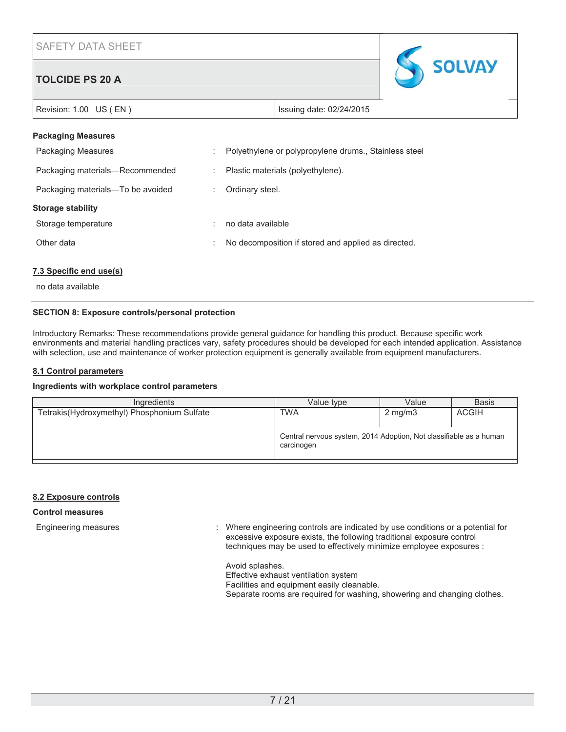# **TOLCIDE PS 20 A**



Revision: 1.00 US (EN ) **ISSUING 19** Issuing date: 02/24/2015

## **Packaging Measures**

| <b>Packaging Measures</b>         |   | Polyethylene or polypropylene drums., Stainless steel |
|-----------------------------------|---|-------------------------------------------------------|
| Packaging materials-Recommended   |   | Plastic materials (polyethylene).                     |
| Packaging materials-To be avoided |   | Ordinary steel.                                       |
|                                   |   |                                                       |
| Storage stability                 |   |                                                       |
| Storage temperature               |   | no data available                                     |
| Other data                        | ÷ | No decomposition if stored and applied as directed.   |

## **7.3 Specific end use(s)**

no data available

## **SECTION 8: Exposure controls/personal protection**

Introductory Remarks: These recommendations provide general guidance for handling this product. Because specific work environments and material handling practices vary, safety procedures should be developed for each intended application. Assistance with selection, use and maintenance of worker protection equipment is generally available from equipment manufacturers.

## **8.1 Control parameters**

## **Ingredients with workplace control parameters**

| Ingredients                                 | Value type                                                                       | Value            | <b>Basis</b> |
|---------------------------------------------|----------------------------------------------------------------------------------|------------------|--------------|
| Tetrakis(Hydroxymethyl) Phosphonium Sulfate | <b>TWA</b>                                                                       | $2 \text{ mg/m}$ | <b>ACGIH</b> |
|                                             | Central nervous system, 2014 Adoption, Not classifiable as a human<br>carcinogen |                  |              |

## **8.2 Exposure controls**

## **Control measures**

Engineering measures : Where engineering controls are indicated by use conditions or a potential for excessive exposure exists, the following traditional exposure control techniques may be used to effectively minimize employee exposures :

> Avoid splashes. Effective exhaust ventilation system Facilities and equipment easily cleanable. Separate rooms are required for washing, showering and changing clothes.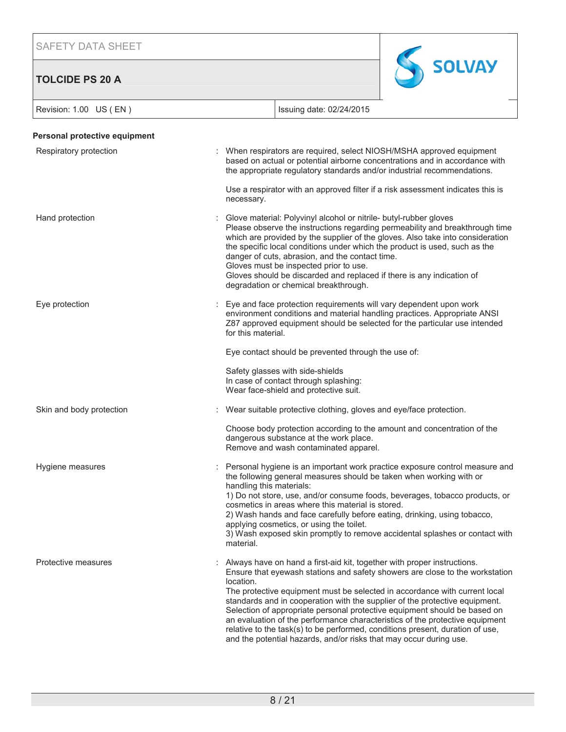**TOLCIDE PS 20 A**



| Revision: 1.00 US (EN)        | Issuing date: 02/24/2015                                                                                                                                                                                                                                                                                                                                                                                                                                                                                                                                                                                                                              |
|-------------------------------|-------------------------------------------------------------------------------------------------------------------------------------------------------------------------------------------------------------------------------------------------------------------------------------------------------------------------------------------------------------------------------------------------------------------------------------------------------------------------------------------------------------------------------------------------------------------------------------------------------------------------------------------------------|
| Personal protective equipment |                                                                                                                                                                                                                                                                                                                                                                                                                                                                                                                                                                                                                                                       |
| Respiratory protection        | When respirators are required, select NIOSH/MSHA approved equipment<br>based on actual or potential airborne concentrations and in accordance with<br>the appropriate regulatory standards and/or industrial recommendations.                                                                                                                                                                                                                                                                                                                                                                                                                         |
|                               | Use a respirator with an approved filter if a risk assessment indicates this is<br>necessary.                                                                                                                                                                                                                                                                                                                                                                                                                                                                                                                                                         |
| Hand protection               | Glove material: Polyvinyl alcohol or nitrile- butyl-rubber gloves<br>Please observe the instructions regarding permeability and breakthrough time<br>which are provided by the supplier of the gloves. Also take into consideration<br>the specific local conditions under which the product is used, such as the<br>danger of cuts, abrasion, and the contact time.<br>Gloves must be inspected prior to use.<br>Gloves should be discarded and replaced if there is any indication of<br>degradation or chemical breakthrough.                                                                                                                      |
| Eye protection                | Eye and face protection requirements will vary dependent upon work<br>environment conditions and material handling practices. Appropriate ANSI<br>Z87 approved equipment should be selected for the particular use intended<br>for this material.                                                                                                                                                                                                                                                                                                                                                                                                     |
|                               | Eye contact should be prevented through the use of:                                                                                                                                                                                                                                                                                                                                                                                                                                                                                                                                                                                                   |
|                               | Safety glasses with side-shields<br>In case of contact through splashing:<br>Wear face-shield and protective suit.                                                                                                                                                                                                                                                                                                                                                                                                                                                                                                                                    |
| Skin and body protection      | Wear suitable protective clothing, gloves and eye/face protection.                                                                                                                                                                                                                                                                                                                                                                                                                                                                                                                                                                                    |
|                               | Choose body protection according to the amount and concentration of the<br>dangerous substance at the work place.<br>Remove and wash contaminated apparel.                                                                                                                                                                                                                                                                                                                                                                                                                                                                                            |
| Hygiene measures              | Personal hygiene is an important work practice exposure control measure and<br>the following general measures should be taken when working with or<br>handling this materials:<br>1) Do not store, use, and/or consume foods, beverages, tobacco products, or<br>cosmetics in areas where this material is stored.<br>2) Wash hands and face carefully before eating, drinking, using tobacco,<br>applying cosmetics, or using the toilet.<br>3) Wash exposed skin promptly to remove accidental splashes or contact with<br>material.                                                                                                                |
| Protective measures           | Always have on hand a first-aid kit, together with proper instructions.<br>Ensure that eyewash stations and safety showers are close to the workstation<br>location.<br>The protective equipment must be selected in accordance with current local<br>standards and in cooperation with the supplier of the protective equipment.<br>Selection of appropriate personal protective equipment should be based on<br>an evaluation of the performance characteristics of the protective equipment<br>relative to the task(s) to be performed, conditions present, duration of use,<br>and the potential hazards, and/or risks that may occur during use. |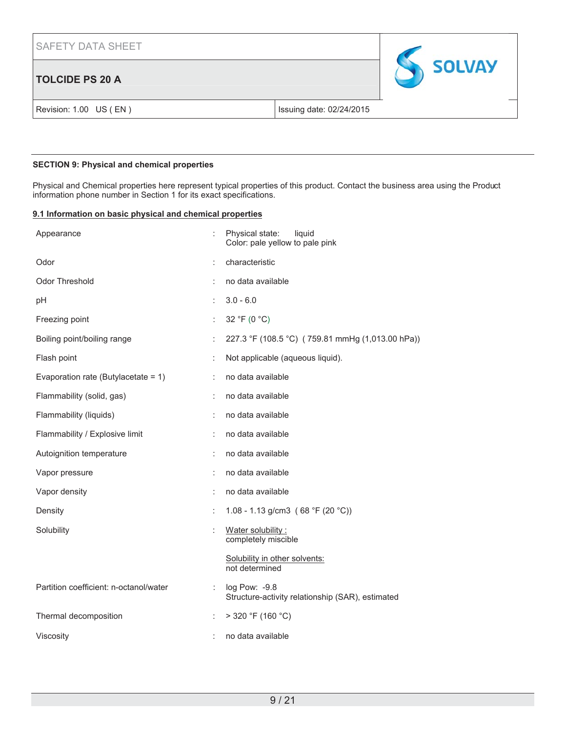# **TOLCIDE PS 20 A**



Revision: 1.00 US (EN) Issuing date: 02/24/2015

## **SECTION 9: Physical and chemical properties**

Physical and Chemical properties here represent typical properties of this product. Contact the business area using the Product information phone number in Section 1 for its exact specifications.

## **9.1 Information on basic physical and chemical properties**

| Appearance                             |                      | Physical state:<br>liquid<br>Color: pale yellow to pale pink      |
|----------------------------------------|----------------------|-------------------------------------------------------------------|
| Odor                                   |                      | characteristic                                                    |
| <b>Odor Threshold</b>                  |                      | no data available                                                 |
| pH                                     |                      | $3.0 - 6.0$                                                       |
| Freezing point                         | t                    | 32 °F (0 °C)                                                      |
| Boiling point/boiling range            |                      | 227.3 °F (108.5 °C) (759.81 mmHg (1,013.00 hPa))                  |
| Flash point                            |                      | Not applicable (aqueous liquid).                                  |
| Evaporation rate (Butylacetate = 1)    | ÷                    | no data available                                                 |
| Flammability (solid, gas)              | ÷                    | no data available                                                 |
| Flammability (liquids)                 | t                    | no data available                                                 |
| Flammability / Explosive limit         |                      | no data available                                                 |
| Autoignition temperature               | t                    | no data available                                                 |
| Vapor pressure                         |                      | no data available                                                 |
| Vapor density                          | ÷                    | no data available                                                 |
| Density                                | ÷                    | 1.08 - 1.13 g/cm3 (68 °F (20 °C))                                 |
| Solubility                             |                      | Water solubility:<br>completely miscible                          |
|                                        |                      | Solubility in other solvents:<br>not determined                   |
| Partition coefficient: n-octanol/water | ÷                    | log Pow: -9.8<br>Structure-activity relationship (SAR), estimated |
| Thermal decomposition                  | $\ddot{\phantom{a}}$ | $>$ 320 °F (160 °C)                                               |
| Viscosity                              |                      | no data available                                                 |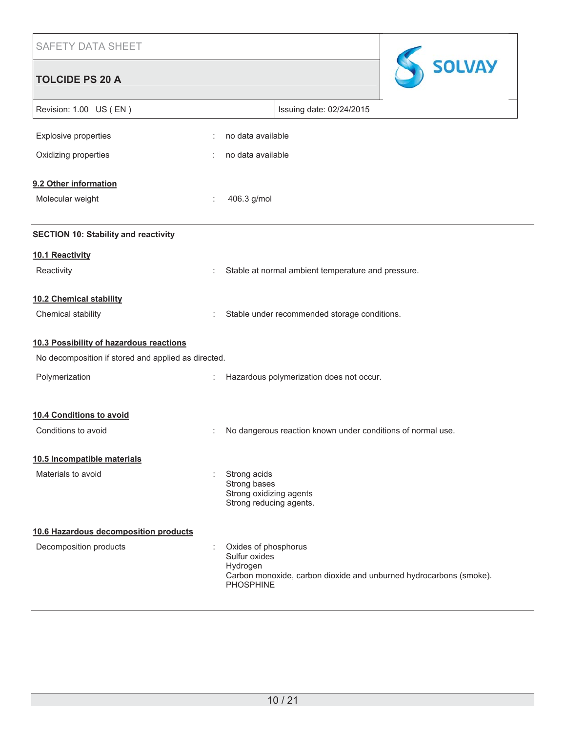| Issuing date: 02/24/2015                           |
|----------------------------------------------------|
|                                                    |
|                                                    |
|                                                    |
|                                                    |
|                                                    |
|                                                    |
| Stable at normal ambient temperature and pressure. |
|                                                    |

Chemical stability **Stable under recommended storage conditions.** Stable under recommended storage conditions.

## **10.3 Possibility of hazardous reactions**

| No decomposition if stored and applied as directed. |   |                                                                                                                                             |
|-----------------------------------------------------|---|---------------------------------------------------------------------------------------------------------------------------------------------|
| Polymerization                                      | ÷ | Hazardous polymerization does not occur.                                                                                                    |
|                                                     |   |                                                                                                                                             |
| 10.4 Conditions to avoid                            |   |                                                                                                                                             |
| Conditions to avoid                                 | ÷ | No dangerous reaction known under conditions of normal use.                                                                                 |
| 10.5 Incompatible materials                         |   |                                                                                                                                             |
| Materials to avoid                                  |   | Strong acids<br>Strong bases<br>Strong oxidizing agents<br>Strong reducing agents.                                                          |
| 10.6 Hazardous decomposition products               |   |                                                                                                                                             |
| Decomposition products                              | ÷ | Oxides of phosphorus<br>Sulfur oxides<br>Hydrogen<br>Carbon monoxide, carbon dioxide and unburned hydrocarbons (smoke).<br><b>PHOSPHINE</b> |

SSOLVAY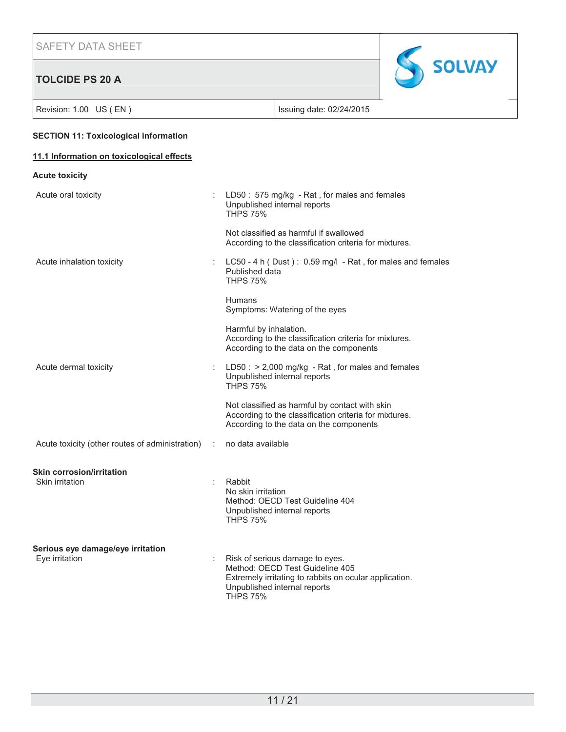# **TOLCIDE PS 20 A**



Revision: 1.00 US (EN ) Revision: 1.00 US (EN )

## **SECTION 11: Toxicological information**

## **11.1 Information on toxicological effects**

| <b>Acute toxicity</b>                               |                |                                                                                                                                                                                 |
|-----------------------------------------------------|----------------|---------------------------------------------------------------------------------------------------------------------------------------------------------------------------------|
| Acute oral toxicity                                 | ÷              | LD50: 575 mg/kg - Rat, for males and females<br>Unpublished internal reports<br><b>THPS 75%</b>                                                                                 |
|                                                     |                | Not classified as harmful if swallowed<br>According to the classification criteria for mixtures.                                                                                |
| Acute inhalation toxicity                           |                | LC50 - 4 h (Dust): 0.59 mg/l - Rat, for males and females<br>Published data<br><b>THPS 75%</b>                                                                                  |
|                                                     |                | <b>Humans</b><br>Symptoms: Watering of the eyes                                                                                                                                 |
|                                                     |                | Harmful by inhalation.<br>According to the classification criteria for mixtures.<br>According to the data on the components                                                     |
| Acute dermal toxicity                               |                | $LD50: > 2,000$ mg/kg - Rat, for males and females<br>Unpublished internal reports<br><b>THPS 75%</b>                                                                           |
|                                                     |                | Not classified as harmful by contact with skin<br>According to the classification criteria for mixtures.<br>According to the data on the components                             |
| Acute toxicity (other routes of administration)     | $\mathbb{R}^n$ | no data available                                                                                                                                                               |
| <b>Skin corrosion/irritation</b><br>Skin irritation |                | Rabbit<br>No skin irritation<br>Method: OECD Test Guideline 404<br>Unpublished internal reports<br><b>THPS 75%</b>                                                              |
| Serious eye damage/eye irritation<br>Eye irritation |                | Risk of serious damage to eyes.<br>Method: OECD Test Guideline 405<br>Extremely irritating to rabbits on ocular application.<br>Unpublished internal reports<br><b>THPS 75%</b> |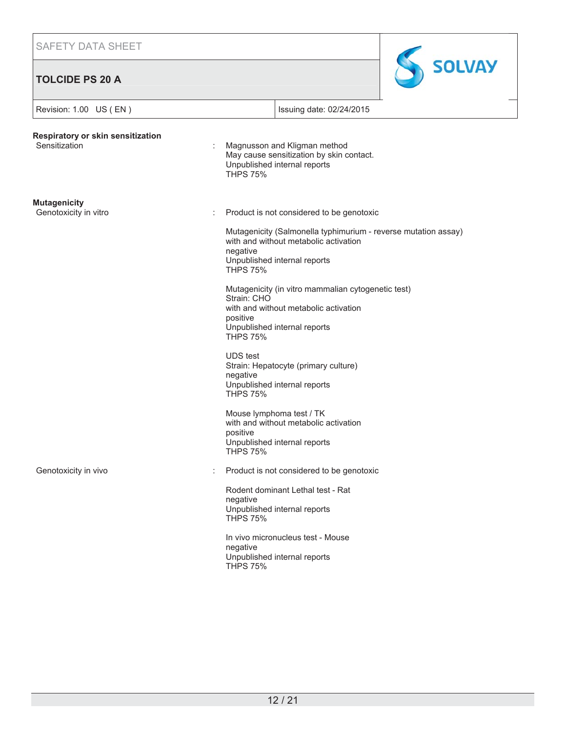# **TOLCIDE PS 20 A**



| Revision: 1.00 US (EN)                             |                                                                                                                             | Issuing date: 02/24/2015                                                                                                                                                             |  |
|----------------------------------------------------|-----------------------------------------------------------------------------------------------------------------------------|--------------------------------------------------------------------------------------------------------------------------------------------------------------------------------------|--|
| Respiratory or skin sensitization<br>Sensitization | Magnusson and Kligman method<br>May cause sensitization by skin contact.<br>Unpublished internal reports<br><b>THPS 75%</b> |                                                                                                                                                                                      |  |
| <b>Mutagenicity</b><br>Genotoxicity in vitro       | negative<br><b>THPS 75%</b>                                                                                                 | Product is not considered to be genotoxic<br>Mutagenicity (Salmonella typhimurium - reverse mutation assay)<br>with and without metabolic activation<br>Unpublished internal reports |  |
|                                                    | Strain: CHO<br>positive<br><b>THPS 75%</b>                                                                                  | Mutagenicity (in vitro mammalian cytogenetic test)<br>with and without metabolic activation<br>Unpublished internal reports                                                          |  |
|                                                    | <b>UDS</b> test<br>negative<br><b>THPS 75%</b>                                                                              | Strain: Hepatocyte (primary culture)<br>Unpublished internal reports                                                                                                                 |  |
|                                                    | positive<br><b>THPS 75%</b>                                                                                                 | Mouse lymphoma test / TK<br>with and without metabolic activation<br>Unpublished internal reports                                                                                    |  |
| Genotoxicity in vivo                               |                                                                                                                             | Product is not considered to be genotoxic                                                                                                                                            |  |
|                                                    | negative<br><b>THPS 75%</b>                                                                                                 | Rodent dominant Lethal test - Rat<br>Unpublished internal reports                                                                                                                    |  |
|                                                    | negative<br><b>THPS 75%</b>                                                                                                 | In vivo micronucleus test - Mouse<br>Unpublished internal reports                                                                                                                    |  |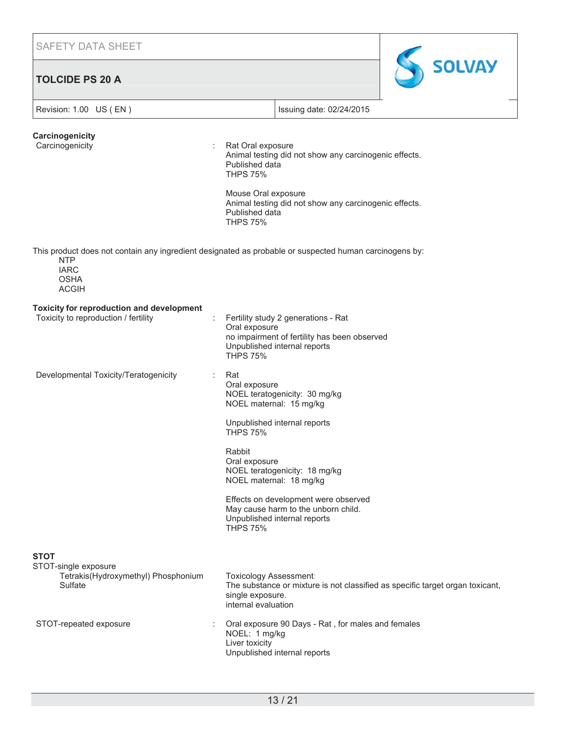SAFETY DATA SHEET **TOLCIDE PS 20 A** Revision: 1.00 US (EN ) **ISSUING 19** Issuing date: 02/24/2015 **Carcinogenicity** Carcinogenicity **Carcinogenicity Carcinogenicity Carcinogenicity Carcinogenicity** Animal testing did not show any carcinogenic effects. Published data THPS 75% Mouse Oral exposure Animal testing did not show any carcinogenic effects. Published data THPS 75% This product does not contain any ingredient designated as probable or suspected human carcinogens by: NTP IARC OSHA ACGIH **Toxicity for reproduction and development** Toxicity to reproduction / fertility **interpreterations** : Fertility study 2 generations - Rat Oral exposure no impairment of fertility has been observed Unpublished internal reports THPS 75% Developmental Toxicity/Teratogenicity : Rat Oral exposure

> Rabbit Oral exposure NOEL teratogenicity: 18 mg/kg NOEL maternal: 18 mg/kg

NOEL teratogenicity: 30 mg/kg NOEL maternal: 15 mg/kg

**SOLVAY** 

Unpublished internal reports

THPS 75%

Effects on development were observed May cause harm to the unborn child. Unpublished internal reports THPS 75%

**STOT**

| STOT-single exposure<br>Tetrakis (Hydroxymethyl) Phosphonium<br>Sulfate | Toxicology Assessment:<br>The substance or mixture is not classified as specific target organ toxicant,<br>single exposure.<br>internal evaluation |
|-------------------------------------------------------------------------|----------------------------------------------------------------------------------------------------------------------------------------------------|
| STOT-repeated exposure                                                  | Oral exposure 90 Days - Rat, for males and females<br>NOEL: 1 mg/kg<br>Liver toxicity<br>Unpublished internal reports                              |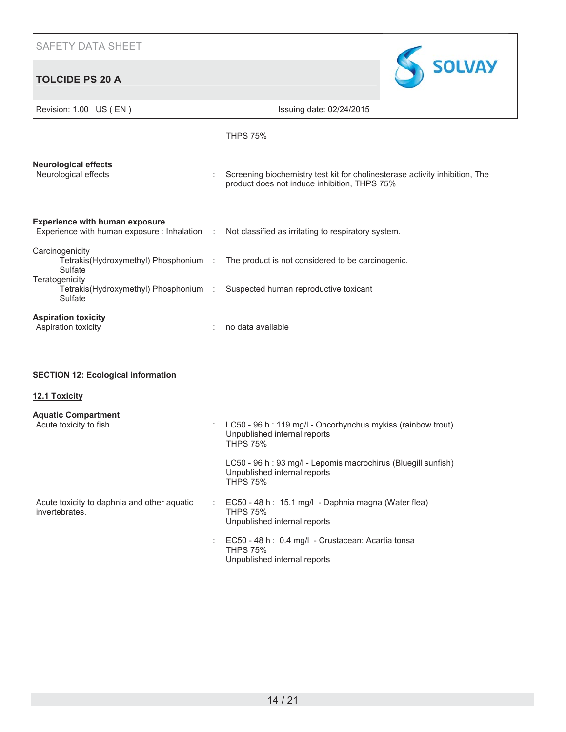# **TOLCIDE PS 20 A**



| Revision: 1.00 US (EN)                                                                                                |                   | Issuing date: 02/24/2015                            |                                                                             |
|-----------------------------------------------------------------------------------------------------------------------|-------------------|-----------------------------------------------------|-----------------------------------------------------------------------------|
|                                                                                                                       | <b>THPS 75%</b>   |                                                     |                                                                             |
| <b>Neurological effects</b><br>Neurological effects                                                                   |                   | product does not induce inhibition, THPS 75%        | Screening biochemistry test kit for cholinesterase activity inhibition, The |
| <b>Experience with human exposure</b><br>Experience with human exposure : Inhalation :                                |                   | Not classified as irritating to respiratory system. |                                                                             |
| Carcinogenicity<br>Tetrakis(Hydroxymethyl) Phosphonium : The product is not considered to be carcinogenic.<br>Sulfate |                   |                                                     |                                                                             |
| Teratogenicity<br>Tetrakis(Hydroxymethyl) Phosphonium :<br>Sulfate                                                    |                   | Suspected human reproductive toxicant               |                                                                             |
| <b>Aspiration toxicity</b><br>Aspiration toxicity                                                                     | no data available |                                                     |                                                                             |

## **SECTION 12: Ecological information**

| <b>12.1 Toxicity</b>                                          |    |                                                                                                                   |
|---------------------------------------------------------------|----|-------------------------------------------------------------------------------------------------------------------|
| <b>Aquatic Compartment</b><br>Acute toxicity to fish          |    | LC50 - 96 h : 119 mg/l - Oncorhynchus mykiss (rainbow trout)<br>Unpublished internal reports<br><b>THPS 75%</b>   |
|                                                               |    | LC50 - 96 h : 93 mg/l - Lepomis macrochirus (Bluegill sunfish)<br>Unpublished internal reports<br><b>THPS 75%</b> |
| Acute toxicity to daphnia and other aquatic<br>invertebrates. |    | EC50 - 48 h : 15.1 mg/l - Daphnia magna (Water flea)<br>THPS 75%<br>Unpublished internal reports                  |
|                                                               | ÷. | EC50 - 48 h : 0.4 mg/l - Crustacean: Acartia tonsa<br>THPS 75%<br>Unpublished internal reports                    |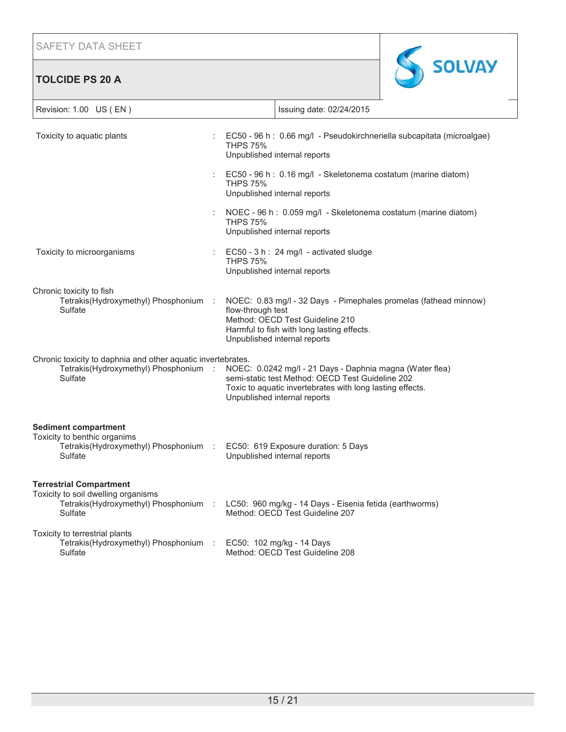**TOLCIDE PS 20 A**



| Revision: 1.00 US (EN)                                                                                                                                                            |                                                                                                                                    | Issuing date: 02/24/2015                                                                                                                                                  |
|-----------------------------------------------------------------------------------------------------------------------------------------------------------------------------------|------------------------------------------------------------------------------------------------------------------------------------|---------------------------------------------------------------------------------------------------------------------------------------------------------------------------|
| Toxicity to aquatic plants                                                                                                                                                        | <b>THPS 75%</b><br>Unpublished internal reports                                                                                    | EC50 - 96 h : 0.66 mg/l - Pseudokirchneriella subcapitata (microalgae)                                                                                                    |
|                                                                                                                                                                                   | <b>THPS 75%</b><br>Unpublished internal reports                                                                                    | EC50 - 96 h : 0.16 mg/l - Skeletonema costatum (marine diatom)                                                                                                            |
|                                                                                                                                                                                   | <b>THPS 75%</b><br>Unpublished internal reports                                                                                    | NOEC - 96 h : 0.059 mg/l - Skeletonema costatum (marine diatom)                                                                                                           |
| Toxicity to microorganisms                                                                                                                                                        | EC50 - 3 h : 24 mg/l - activated sludge<br><b>THPS 75%</b><br>Unpublished internal reports                                         |                                                                                                                                                                           |
| Chronic toxicity to fish<br>Tetrakis(Hydroxymethyl) Phosphonium :<br>Sulfate                                                                                                      | flow-through test<br>Method: OECD Test Guideline 210<br>Harmful to fish with long lasting effects.<br>Unpublished internal reports | NOEC: 0.83 mg/l - 32 Days - Pimephales promelas (fathead minnow)                                                                                                          |
| Chronic toxicity to daphnia and other aquatic invertebrates.<br>Tetrakis(Hydroxymethyl) Phosphonium :<br>Sulfate                                                                  | Unpublished internal reports                                                                                                       | NOEC: 0.0242 mg/l - 21 Days - Daphnia magna (Water flea)<br>semi-static test Method: OECD Test Guideline 202<br>Toxic to aquatic invertebrates with long lasting effects. |
| <b>Sediment compartment</b><br>Toxicity to benthic organims<br>Tetrakis(Hydroxymethyl) Phosphonium :<br>Sulfate                                                                   | EC50: 619 Exposure duration: 5 Days<br>Unpublished internal reports                                                                |                                                                                                                                                                           |
| <b>Terrestrial Compartment</b><br>Toxicity to soil dwelling organisms<br>Tetrakis(Hydroxymethyl) Phosphonium : LC50: 960 mg/kg - 14 Days - Eisenia fetida (earthworms)<br>Sulfate | Method: OECD Test Guideline 207                                                                                                    |                                                                                                                                                                           |
| Toxicity to terrestrial plants<br>Tetrakis(Hydroxymethyl) Phosphonium :<br>Sulfate                                                                                                | EC50: 102 mg/kg - 14 Days<br>Method: OECD Test Guideline 208                                                                       |                                                                                                                                                                           |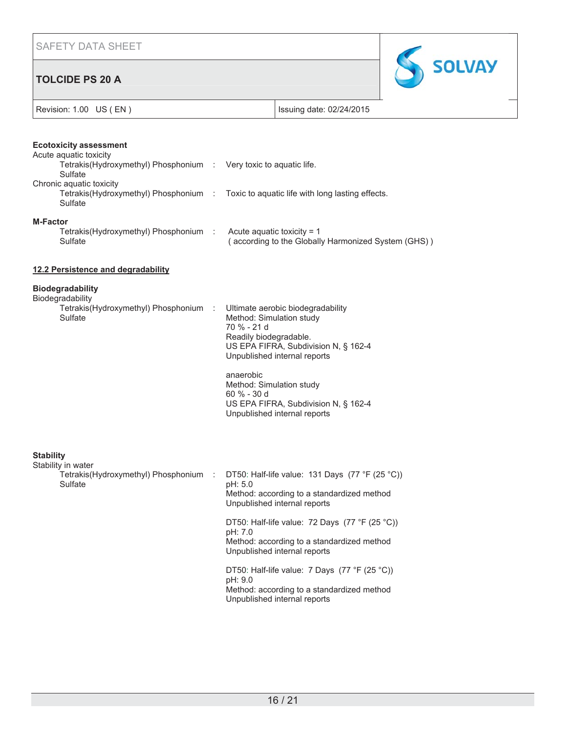# **TOLCIDE PS 20 A**



|  |  | Revision: 1.00 US (EN) |
|--|--|------------------------|
|--|--|------------------------|

Issuing date: 02/24/2015

|                  | <b>Ecotoxicity assessment</b><br>Acute aquatic toxicity                      |      |                                                                                                                                                                                                                                                                                                                |
|------------------|------------------------------------------------------------------------------|------|----------------------------------------------------------------------------------------------------------------------------------------------------------------------------------------------------------------------------------------------------------------------------------------------------------------|
|                  | Tetrakis(Hydroxymethyl) Phosphonium : Very toxic to aquatic life.<br>Sulfate |      |                                                                                                                                                                                                                                                                                                                |
|                  | Chronic aquatic toxicity<br>Sulfate                                          |      | Tetrakis(Hydroxymethyl) Phosphonium : Toxic to aquatic life with long lasting effects.                                                                                                                                                                                                                         |
| <b>M-Factor</b>  | Tetrakis(Hydroxymethyl) Phosphonium :<br>Sulfate                             |      | Acute aquatic toxicity = $1$<br>(according to the Globally Harmonized System (GHS))                                                                                                                                                                                                                            |
|                  | 12.2 Persistence and degradability                                           |      |                                                                                                                                                                                                                                                                                                                |
|                  | <b>Biodegradability</b>                                                      |      |                                                                                                                                                                                                                                                                                                                |
|                  | Biodegradability<br>Tetrakis(Hydroxymethyl) Phosphonium<br>Sulfate           | - 11 | Ultimate aerobic biodegradability<br>Method: Simulation study<br>70 % - 21 d<br>Readily biodegradable.<br>US EPA FIFRA, Subdivision N, § 162-4<br>Unpublished internal reports<br>anaerobic<br>Method: Simulation study<br>60 % - 30 d<br>US EPA FIFRA, Subdivision N, § 162-4<br>Unpublished internal reports |
| <b>Stability</b> | Stability in water<br>Tetrakis(Hydroxymethyl) Phosphonium<br>Sulfate         | - 11 | DT50: Half-life value: 131 Days $(77 °F (25 °C))$<br>pH: 5.0<br>Method: according to a standardized method<br>Unpublished internal reports                                                                                                                                                                     |
|                  |                                                                              |      | DT50: Half-life value: 72 Days $(77 °F (25 °C))$<br>pH: 7.0<br>Method: according to a standardized method<br>Unpublished internal reports                                                                                                                                                                      |
|                  |                                                                              |      | DT50: Half-life value: 7 Days (77 °F (25 °C))<br>pH: 9.0<br>Method: according to a standardized method<br>Unpublished internal reports                                                                                                                                                                         |
|                  |                                                                              |      |                                                                                                                                                                                                                                                                                                                |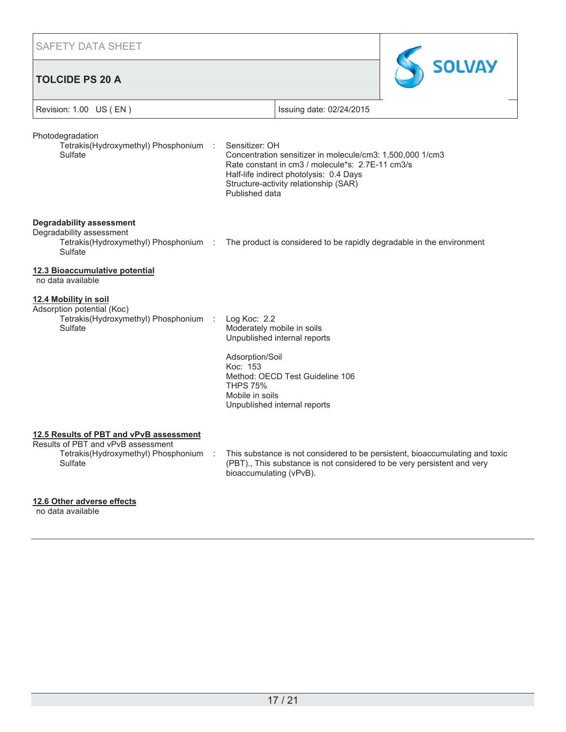SAFETY DATA SHEET **SOLVAY TOLCIDE PS 20 A** Revision: 1.00 US (EN ) The state of the state of the state of the state of the state of the state of the state of the state of the state of the state of the state of the state of the state of the state of the state of the Photodegradation Tetrakis(Hydroxymethyl) Phosphonium Sensitizer: OH Sulfate Concentration sensitizer in molecule/cm3: 1,500,000 1/cm3 Rate constant in cm3 / molecule\*s: 2.7E-11 cm3/s Half-life indirect photolysis: 0.4 Days Structure-activity relationship (SAR) Published data **Degradability assessment** Degradability assessment Tetrakis(Hydroxymethyl) Phosphonium : The product is considered to be rapidly degradable in the environment Sulfate **12.3 Bioaccumulative potential** no data available **12.4 Mobility in soil** Adsorption potential (Koc) Tetrakis(Hydroxymethyl) Phosphonium Log Koc: 2.2 **Sulfate** Moderately mobile in soils Unpublished internal reports Adsorption/Soil Koc: 153 Method: OECD Test Guideline 106 THPS 75% Mobile in soils Unpublished internal reports **12.5 Results of PBT and vPvB assessment** Results of PBT and vPvB assessment Tetrakis(Hydroxymethyl) Phosphonium : This substance is not considered to be persistent, bioaccumulating and toxic Sulfate (PBT)., This substance is not considered to be very persistent and very bioaccumulating (vPvB).

## **12.6 Other adverse effects**

no data available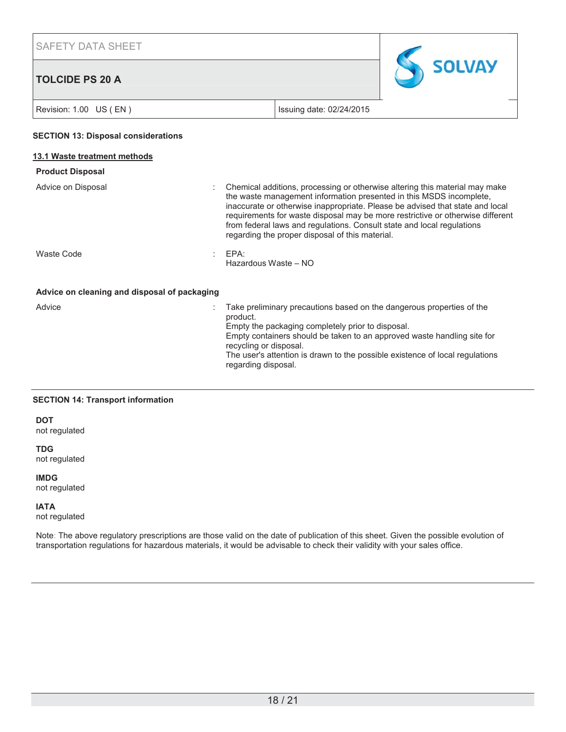# **TOLCIDE PS 20 A**



Revision: 1.00 US (EN) Issuing date: 02/24/2015

#### **SECTION 13: Disposal considerations**

#### **13.1 Waste treatment methods**

# **Product Disposal**

| Advice on Disposal | : Chemical additions, processing or otherwise altering this material may make<br>the waste management information presented in this MSDS incomplete.<br>inaccurate or otherwise inappropriate. Please be advised that state and local<br>requirements for waste disposal may be more restrictive or otherwise different<br>from federal laws and regulations. Consult state and local regulations<br>regarding the proper disposal of this material. |
|--------------------|------------------------------------------------------------------------------------------------------------------------------------------------------------------------------------------------------------------------------------------------------------------------------------------------------------------------------------------------------------------------------------------------------------------------------------------------------|
| Waste Code         | EPA:                                                                                                                                                                                                                                                                                                                                                                                                                                                 |

**Advice on cleaning and disposal of packaging**

| Advice | Take preliminary precautions based on the dangerous properties of the<br>product.<br>Empty the packaging completely prior to disposal.<br>Empty containers should be taken to an approved waste handling site for<br>recycling or disposal. |
|--------|---------------------------------------------------------------------------------------------------------------------------------------------------------------------------------------------------------------------------------------------|
|        | The user's attention is drawn to the possible existence of local regulations<br>regarding disposal.                                                                                                                                         |

Hazardous Waste – NO

## **SECTION 14: Transport information**

**DOT**

not regulated

#### **TDG**

not regulated

## **IMDG**

not regulated

## **IATA**

not regulated

Note: The above regulatory prescriptions are those valid on the date of publication of this sheet. Given the possible evolution of transportation regulations for hazardous materials, it would be advisable to check their validity with your sales office.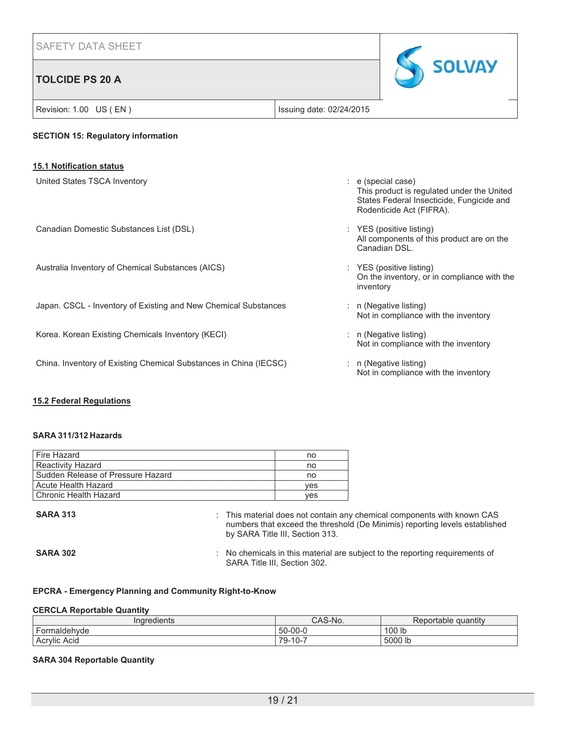## **TOLCIDE PS 20 A**



# Revision: 1.00 US (EN ) The state of the state of the state of the state of the state of the state of the state of the state of the state of the state of the state of the state of the state of the state of the state of the **SECTION 15: Regulatory information 15.1 Notification status** United States TSCA Inventory : e (special case) This product is regulated under the United States Federal Insecticide, Fungicide and Rodenticide Act (FIFRA). Canadian Domestic Substances List (DSL) : YES (positive listing) All components of this product are on the Canadian DSL. Australia Inventory of Chemical Substances (AICS) : YES (positive listing) On the inventory, or in compliance with the inventory Japan. CSCL - Inventory of Existing and New Chemical Substances : n (Negative listing) Not in compliance with the inventory Korea. Korean Existing Chemicals Inventory (KECI) in (Negative listing) in (Negative listing) Not in compliance with the inventory China. Inventory of Existing Chemical Substances in China (IECSC) : n (Negative listing) Not in compliance with the inventory

## **15.2 Federal Regulations**

## **SARA 311/312 Hazards**

| Fire Hazard                       | no  |
|-----------------------------------|-----|
| <b>Reactivity Hazard</b>          | no  |
| Sudden Release of Pressure Hazard | no  |
| Acute Health Hazard               | ves |
| l Chronic Health Hazard           | ves |

**SARA 313 EXALGE 213 :** This material does not contain any chemical components with known CAS numbers that exceed the threshold (De Minimis) reporting levels established by SARA Title III, Section 313.

**SARA 302** : No chemicals in this material are subject to the reporting requirements of SARA Title III, Section 302.

## **EPCRA - Emergency Planning and Community Right-to-Know**

#### **CERCLA Reportable Quantity**

| <b>Tredients</b>         | $\sim$<br>S-NO.<br>UMU      | <br>quantity<br>ortable<br>nn. |
|--------------------------|-----------------------------|--------------------------------|
| -<br>Formaldehyde        | $50-00-0$                   | 100 lb                         |
| $\cdots$<br>Acrylic Acid | 79-.<br>-<br>$\sim$<br>. U- | 5000 lb                        |

#### **SARA 304 Reportable Quantity**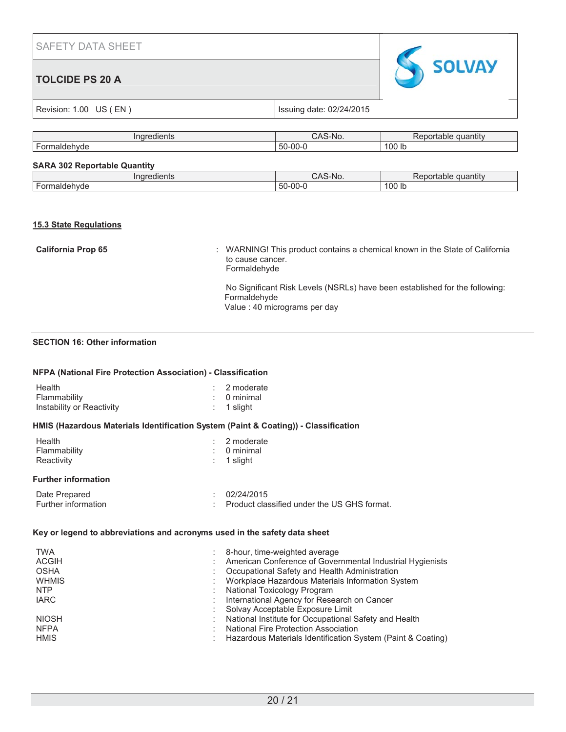## **TOLCIDE PS 20 A**



|  |  | Revision: 1.00 US (EN) |
|--|--|------------------------|
|--|--|------------------------|

Issuing date: 02/24/2015

| .<br>. iui<br>eulents                                                                              | n<br>NO.<br>טרוט      | uantıt∖<br>эпаріє<br> |
|----------------------------------------------------------------------------------------------------|-----------------------|-----------------------|
| $\overline{\phantom{0}}$<br>$\sim$ $\sim$ $\sim$ $\sim$<br>- - - - -<br>ori<br>71 V L<br>'ue<br>л. | 71<br>-w<br>:C.<br>-- | 100 lb                |
|                                                                                                    |                       |                       |

## **SARA 302 Reportable Quantity**

| 116<br>ت الم                                  | w<br>¬∟<br>◝ | .<br>.<br>antit<br>anie |
|-----------------------------------------------|--------------|-------------------------|
| $\ddot{\phantom{0}}$<br>- 1-<br>.<br><br>. JT | $00-$        | 100<br>-lb              |

## **15.3 State Regulations**

| <b>California Prop 65</b> | : WARNING! This product contains a chemical known in the State of California<br>to cause cancer.<br>Formaldehyde            |
|---------------------------|-----------------------------------------------------------------------------------------------------------------------------|
|                           | No Significant Risk Levels (NSRLs) have been established for the following:<br>Formaldehyde<br>Value: 40 micrograms per day |

## **SECTION 16: Other information**

#### **NFPA (National Fire Protection Association) - Classification**

| Health                    | $: 2$ moderate         |
|---------------------------|------------------------|
| Flammability              | $\therefore$ 0 minimal |
| Instability or Reactivity | $: 1$ slight           |

## **HMIS (Hazardous Materials Identification System (Paint & Coating)) - Classification**

| Health       | $: 2$ moderate         |
|--------------|------------------------|
| Flammability | $\therefore$ 0 minimal |
| Reactivity   | $\therefore$ 1 slight  |

## **Further information**

| Date Prepared              | 102/24/2015                                 |
|----------------------------|---------------------------------------------|
| <b>Further information</b> | Product classified under the US GHS format. |

## **Key or legend to abbreviations and acronyms used in the safety data sheet**

| <b>TWA</b>   | 8-hour, time-weighted average                               |
|--------------|-------------------------------------------------------------|
| <b>ACGIH</b> | American Conference of Governmental Industrial Hygienists   |
| <b>OSHA</b>  | Occupational Safety and Health Administration               |
| <b>WHMIS</b> | Workplace Hazardous Materials Information System            |
| <b>NTP</b>   | National Toxicology Program                                 |
| <b>IARC</b>  | International Agency for Research on Cancer                 |
|              | Solvay Acceptable Exposure Limit                            |
| <b>NIOSH</b> | National Institute for Occupational Safety and Health       |
| <b>NFPA</b>  | <b>National Fire Protection Association</b>                 |
| <b>HMIS</b>  | Hazardous Materials Identification System (Paint & Coating) |